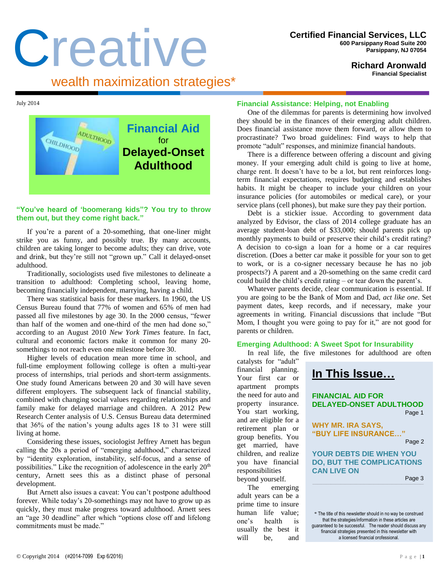# Creative wealth maximization strategies\*

**Richard Aronwald Financial Specialist**

July 2014



### **"You've heard of 'boomerang kids"? You try to throw them out, but they come right back."**

If you're a parent of a 20-something, that one-liner might strike you as funny, and possibly true. By many accounts, children are taking longer to become adults; they can drive, vote and drink, but they're still not "grown up." Call it delayed-onset adulthood.

Traditionally, sociologists used five milestones to delineate a transition to adulthood: Completing school, leaving home, becoming financially independent, marrying, having a child.

There was statistical basis for these markers. In 1960, the US Census Bureau found that 77% of women and 65% of men had passed all five milestones by age 30. In the 2000 census, "fewer than half of the women and one-third of the men had done so," according to an August 2010 *New York Times* feature. In fact, cultural and economic factors make it common for many 20 somethings to not reach even one milestone before 30.

Higher levels of education mean more time in school, and full-time employment following college is often a multi-year process of internships, trial periods and short-term assignments. One study found Americans between 20 and 30 will have seven different employers. The subsequent lack of financial stability, combined with changing social values regarding relationships and family make for delayed marriage and children. A 2012 Pew Research Center analysis of U.S. Census Bureau data determined that 36% of the nation's young adults ages 18 to 31 were still living at home.

Considering these issues, sociologist Jeffrey Arnett has begun calling the 20s a period of "emerging adulthood," characterized by "identity exploration, instability, self-focus, and a sense of possibilities." Like the recognition of adolescence in the early  $20<sup>th</sup>$ century, Arnett sees this as a distinct phase of personal development.

But Arnett also issues a caveat: You can't postpone adulthood forever. While today's 20-somethings may not have to grow up as quickly, they must make progress toward adulthood. Arnett sees an "age 30 deadline" after which "options close off and lifelong commitments must be made."

#### **Financial Assistance: Helping, not Enabling**

One of the dilemmas for parents is determining how involved they should be in the finances of their emerging adult children. Does financial assistance move them forward, or allow them to procrastinate? Two broad guidelines: Find ways to help that promote "adult" responses, and minimize financial handouts.

There is a difference between offering a discount and giving money. If your emerging adult child is going to live at home, charge rent. It doesn't have to be a lot, but rent reinforces longterm financial expectations, requires budgeting and establishes habits. It might be cheaper to include your children on your insurance policies (for automobiles or medical care), or your service plans (cell phones), but make sure they pay their portion.

Debt is a stickier issue. According to government data analyzed by Edvisor, the class of 2014 college graduate has an average student-loan debt of \$33,000; should parents pick up monthly payments to build or preserve their child's credit rating? A decision to co-sign a loan for a home or a car requires discretion. (Does a better car make it possible for your son to get to work, or is a co-signer necessary because he has no job prospects?) A parent and a 20-something on the same credit card could build the child's credit rating – or tear down the parent's.

Whatever parents decide, clear communication is essential. If you are going to be the Bank of Mom and Dad, *act like one*. Set payment dates, keep records, and if necessary, make your agreements in writing. Financial discussions that include "But Mom, I thought you were going to pay for it," are not good for parents or children.

#### **Emerging Adulthood: A Sweet Spot for Insurability**

In real life, the five milestones for adulthood are often

catalysts for "adult" financial planning. Your first car or apartment prompts the need for auto and property insurance. You start working, and are eligible for a retirement plan or group benefits. You get married, have children, and realize you have financial responsibilities beyond yourself.

The emerging adult years can be a prime time to insure human life value; one's health is usually the best it will be, and



\* The title of this newsletter should in no way be construed that the strategies/information in these articles are guaranteed to be successful. The reader should discuss any financial strategies presented in this newsletter with a licensed financial professional.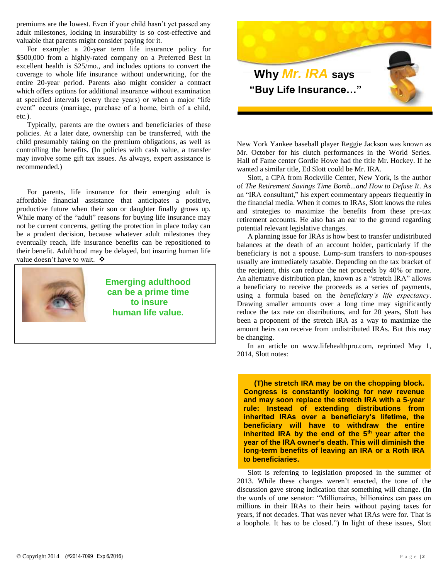premiums are the lowest. Even if your child hasn't yet passed any adult milestones, locking in insurability is so cost-effective and valuable that parents might consider paying for it.

For example: a 20-year term life insurance policy for \$500,000 from a highly-rated company on a Preferred Best in excellent health is \$25/mo., and includes options to convert the coverage to whole life insurance without underwriting, for the entire 20-year period. Parents also might consider a contract which offers options for additional insurance without examination at specified intervals (every three years) or when a major "life event" occurs (marriage, purchase of a home, birth of a child, etc.).

Typically, parents are the owners and beneficiaries of these policies. At a later date, ownership can be transferred, with the child presumably taking on the premium obligations, as well as controlling the benefits. (In policies with cash value, a transfer may involve some gift tax issues. As always, expert assistance is recommended.)

For parents, life insurance for their emerging adult is affordable financial assistance that anticipates a positive, productive future when their son or daughter finally grows up. While many of the "adult" reasons for buying life insurance may not be current concerns, getting the protection in place today can be a prudent decision, because whatever adult milestones they eventually reach, life insurance benefits can be repositioned to their benefit. Adulthood may be delayed, but insuring human life value doesn't have to wait.  $\mathbf{\hat{v}}$ 



**Emerging adulthood can be a prime time to insure human life value.**



New York Yankee baseball player Reggie Jackson was known as Mr. October for his clutch performances in the World Series. Hall of Fame center Gordie Howe had the title Mr. Hockey. If he wanted a similar title, Ed Slott could be Mr. IRA.

Slott, a CPA from Rockville Center, New York, is the author of *The Retirement Savings Time Bomb...and How to Defuse It*. As an "IRA consultant," his expert commentary appears frequently in the financial media. When it comes to IRAs, Slott knows the rules and strategies to maximize the benefits from these pre-tax retirement accounts. He also has an ear to the ground regarding potential relevant legislative changes.

A planning issue for IRAs is how best to transfer undistributed balances at the death of an account holder, particularly if the beneficiary is not a spouse. Lump-sum transfers to non-spouses usually are immediately taxable. Depending on the tax bracket of the recipient, this can reduce the net proceeds by 40% or more. An alternative distribution plan, known as a "stretch IRA" allows a beneficiary to receive the proceeds as a series of payments, using a formula based on the *beneficiary's life expectancy*. Drawing smaller amounts over a long time may significantly reduce the tax rate on distributions, and for 20 years, Slott has been a proponent of the stretch IRA as a way to maximize the amount heirs can receive from undistributed IRAs. But this may be changing.

In an article on www.lifehealthpro.com, reprinted May 1, 2014, Slott notes:

**(T)he stretch IRA may be on the chopping block. Congress is constantly looking for new revenue and may soon replace the stretch IRA with a 5-year rule: Instead of extending distributions from inherited IRAs over a beneficiary's lifetime, the beneficiary will have to withdraw the entire inherited IRA by the end of the 5th year after the year of the IRA owner's death. This will diminish the long-term benefits of leaving an IRA or a Roth IRA to beneficiaries.**

Slott is referring to legislation proposed in the summer of 2013. While these changes weren't enacted, the tone of the discussion gave strong indication that something will change. (In the words of one senator: "Millionaires, billionaires can pass on millions in their IRAs to their heirs without paying taxes for years, if not decades. That was never what IRAs were for. That is a loophole. It has to be closed.") In light of these issues, Slott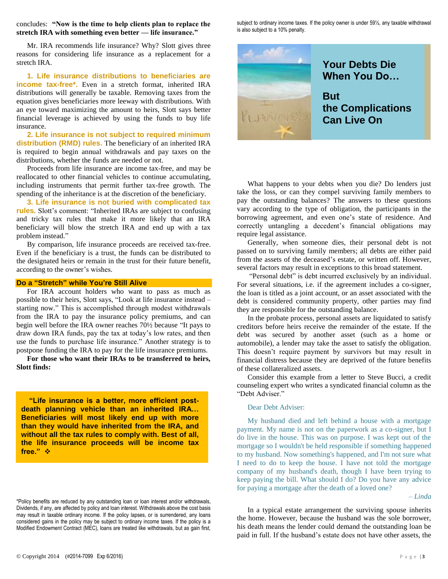concludes: **"Now is the time to help clients plan to replace the stretch IRA with something even better — life insurance."**

Mr. IRA recommends life insurance? Why? Slott gives three reasons for considering life insurance as a replacement for a stretch IRA.

**1. Life insurance distributions to beneficiaries are income tax-free\*.** Even in a stretch format, inherited IRA distributions will generally be taxable. Removing taxes from the equation gives beneficiaries more leeway with distributions. With an eye toward maximizing the amount to heirs, Slott says better financial leverage is achieved by using the funds to buy life insurance.

**2. Life insurance is not subject to required minimum distribution (RMD) rules.** The beneficiary of an inherited IRA is required to begin annual withdrawals and pay taxes on the distributions, whether the funds are needed or not.

Proceeds from life insurance are income tax-free, and may be reallocated to other financial vehicles to continue accumulating, including instruments that permit further tax-free growth. The spending of the inheritance is at the discretion of the beneficiary.

**3. Life insurance is not buried with complicated tax rules.** Slott's comment: "Inherited IRAs are subject to confusing and tricky tax rules that make it more likely that an IRA beneficiary will blow the stretch IRA and end up with a tax problem instead."

By comparison, life insurance proceeds are received tax-free. Even if the beneficiary is a trust, the funds can be distributed to the designated heirs or remain in the trust for their future benefit, according to the owner's wishes.

#### **Do a "Stretch" while You're Still Alive**

For IRA account holders who want to pass as much as possible to their heirs, Slott says, "Look at life insurance instead – starting now." This is accomplished through modest withdrawals from the IRA to pay the insurance policy premiums, and can begin well before the IRA owner reaches 70½ because "It pays to draw down IRA funds, pay the tax at today's low rates, and then use the funds to purchase life insurance." Another strategy is to postpone funding the IRA to pay for the life insurance premiums.

**For those who want their IRAs to be transferred to heirs, Slott finds:**

 **"Life insurance is a better, more efficient postdeath planning vehicle than an inherited IRA… Beneficiaries will most likely end up with more than they would have inherited from the IRA, and without all the tax rules to comply with. Best of all, the life insurance proceeds will be income tax free."** 

\*Policy benefits are reduced by any outstanding loan or loan interest and/or withdrawals, Dividends, if any, are affected by policy and loan interest. Withdrawals above the cost basis may result in taxable ordinary income. If the policy lapses, or is surrendered, any loans considered gains in the policy may be subject to ordinary income taxes. If the policy is a Modified Endowment Contract (MEC), loans are treated like withdrawals, but as gain first,

subject to ordinary income taxes. If the policy owner is under 59½, any taxable withdrawal is also subject to a 10% penalty.



What happens to your debts when you die? Do lenders just take the loss, or can they compel surviving family members to pay the outstanding balances? The answers to these questions vary according to the type of obligation, the participants in the borrowing agreement, and even one's state of residence. And correctly untangling a decedent's financial obligations may require legal assistance.

Generally, when someone dies, their personal debt is not passed on to surviving family members; all debts are either paid from the assets of the deceased's estate, or written off. However, several factors may result in exceptions to this broad statement.

"Personal debt" is debt incurred exclusively by an individual. For several situations, i.e. if the agreement includes a co-signer, the loan is titled as a joint account, or an asset associated with the debt is considered community property, other parties may find they are responsible for the outstanding balance.

In the probate process, personal assets are liquidated to satisfy creditors before heirs receive the remainder of the estate. If the debt was secured by another asset (such as a home or automobile), a lender may take the asset to satisfy the obligation. This doesn't require payment by survivors but may result in financial distress because they are deprived of the future benefits of these collateralized assets.

Consider this example from a letter to Steve Bucci, a credit counseling expert who writes a syndicated financial column as the "Debt Adviser."

#### Dear Debt Adviser:

My husband died and left behind a house with a mortgage payment. My name is not on the paperwork as a co-signer, but I do live in the house. This was on purpose. I was kept out of the mortgage so I wouldn't be held responsible if something happened to my husband. Now something's happened, and I'm not sure what I need to do to keep the house. I have not told the mortgage company of my husband's death, though I have been trying to keep paying the bill. What should I do? Do you have any advice for paying a mortgage after the death of a loved one?

*– Linda*

In a typical estate arrangement the surviving spouse inherits the home. However, because the husband was the sole borrower, his death means the lender could demand the outstanding loan be paid in full. If the husband's estate does not have other assets, the